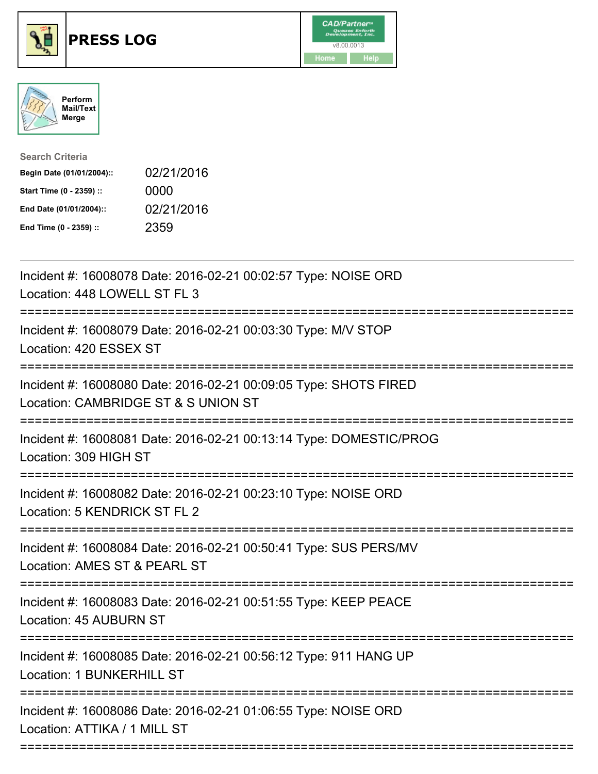





Search Criteria Begin Date (01/01/2004):: 02/21/2016 Start Time (0 - 2359) :: 0000

End Date (01/01/2004):: 02/21/2016 End Time (0 - 2359) :: 2359

| Incident #: 16008078 Date: 2016-02-21 00:02:57 Type: NOISE ORD<br>Location: 448 LOWELL ST FL 3<br>:=================================  |
|---------------------------------------------------------------------------------------------------------------------------------------|
| Incident #: 16008079 Date: 2016-02-21 00:03:30 Type: M/V STOP<br>Location: 420 ESSEX ST                                               |
| Incident #: 16008080 Date: 2016-02-21 00:09:05 Type: SHOTS FIRED<br>Location: CAMBRIDGE ST & S UNION ST                               |
| Incident #: 16008081 Date: 2016-02-21 00:13:14 Type: DOMESTIC/PROG<br>Location: 309 HIGH ST                                           |
| Incident #: 16008082 Date: 2016-02-21 00:23:10 Type: NOISE ORD<br>Location: 5 KENDRICK ST FL 2                                        |
| Incident #: 16008084 Date: 2016-02-21 00:50:41 Type: SUS PERS/MV<br>Location: AMES ST & PEARL ST                                      |
| Incident #: 16008083 Date: 2016-02-21 00:51:55 Type: KEEP PEACE<br>Location: 45 AUBURN ST                                             |
| Incident #: 16008085 Date: 2016-02-21 00:56:12 Type: 911 HANG UP<br><b>Location: 1 BUNKERHILL ST</b>                                  |
| Incident #: 16008086 Date: 2016-02-21 01:06:55 Type: NOISE ORD<br>Location: ATTIKA / 1 MILL ST<br>----------------------------------- |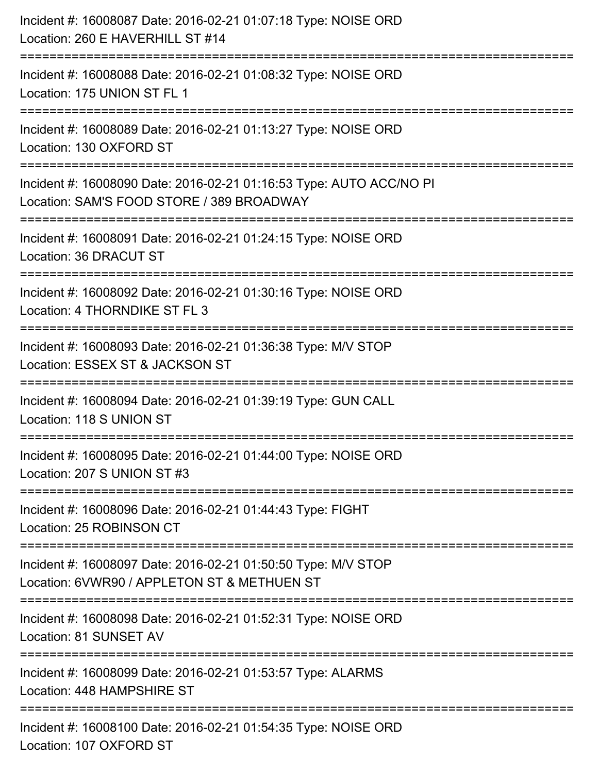| Incident #: 16008087 Date: 2016-02-21 01:07:18 Type: NOISE ORD<br>Location: 260 E HAVERHILL ST #14                              |
|---------------------------------------------------------------------------------------------------------------------------------|
| Incident #: 16008088 Date: 2016-02-21 01:08:32 Type: NOISE ORD<br>Location: 175 UNION ST FL 1                                   |
| Incident #: 16008089 Date: 2016-02-21 01:13:27 Type: NOISE ORD<br>Location: 130 OXFORD ST                                       |
| Incident #: 16008090 Date: 2016-02-21 01:16:53 Type: AUTO ACC/NO PI<br>Location: SAM'S FOOD STORE / 389 BROADWAY                |
| Incident #: 16008091 Date: 2016-02-21 01:24:15 Type: NOISE ORD<br>Location: 36 DRACUT ST                                        |
| Incident #: 16008092 Date: 2016-02-21 01:30:16 Type: NOISE ORD<br>Location: 4 THORNDIKE ST FL 3                                 |
| Incident #: 16008093 Date: 2016-02-21 01:36:38 Type: M/V STOP<br>Location: ESSEX ST & JACKSON ST                                |
| Incident #: 16008094 Date: 2016-02-21 01:39:19 Type: GUN CALL<br>Location: 118 S UNION ST                                       |
| Incident #: 16008095 Date: 2016-02-21 01:44:00 Type: NOISE ORD<br>Location: 207 S UNION ST #3                                   |
| Incident #: 16008096 Date: 2016-02-21 01:44:43 Type: FIGHT<br>Location: 25 ROBINSON CT                                          |
| Incident #: 16008097 Date: 2016-02-21 01:50:50 Type: M/V STOP<br>Location: 6VWR90 / APPLETON ST & METHUEN ST                    |
| ===================================<br>Incident #: 16008098 Date: 2016-02-21 01:52:31 Type: NOISE ORD<br>Location: 81 SUNSET AV |
| Incident #: 16008099 Date: 2016-02-21 01:53:57 Type: ALARMS<br>Location: 448 HAMPSHIRE ST                                       |
| Incident #: 16008100 Date: 2016-02-21 01:54:35 Type: NOISE ORD<br>Location: 107 OXFORD ST                                       |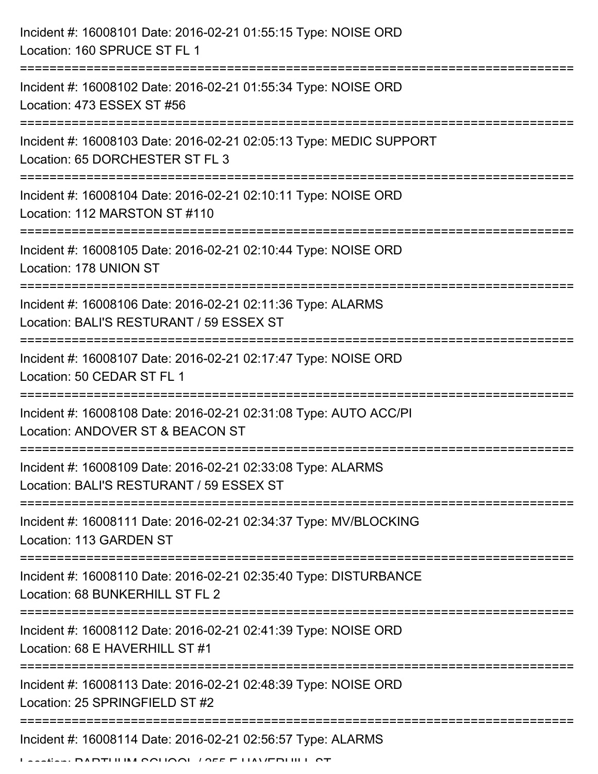| Incident #: 16008101 Date: 2016-02-21 01:55:15 Type: NOISE ORD<br>Location: 160 SPRUCE ST FL 1          |
|---------------------------------------------------------------------------------------------------------|
| Incident #: 16008102 Date: 2016-02-21 01:55:34 Type: NOISE ORD<br>Location: 473 ESSEX ST #56            |
| Incident #: 16008103 Date: 2016-02-21 02:05:13 Type: MEDIC SUPPORT<br>Location: 65 DORCHESTER ST FL 3   |
| Incident #: 16008104 Date: 2016-02-21 02:10:11 Type: NOISE ORD<br>Location: 112 MARSTON ST #110         |
| Incident #: 16008105 Date: 2016-02-21 02:10:44 Type: NOISE ORD<br>Location: 178 UNION ST                |
| Incident #: 16008106 Date: 2016-02-21 02:11:36 Type: ALARMS<br>Location: BALI'S RESTURANT / 59 ESSEX ST |
| Incident #: 16008107 Date: 2016-02-21 02:17:47 Type: NOISE ORD<br>Location: 50 CEDAR ST FL 1            |
| Incident #: 16008108 Date: 2016-02-21 02:31:08 Type: AUTO ACC/PI<br>Location: ANDOVER ST & BEACON ST    |
| Incident #: 16008109 Date: 2016-02-21 02:33:08 Type: ALARMS<br>Location: BALI'S RESTURANT / 59 ESSEX ST |
| Incident #: 16008111 Date: 2016-02-21 02:34:37 Type: MV/BLOCKING<br>Location: 113 GARDEN ST             |
| Incident #: 16008110 Date: 2016-02-21 02:35:40 Type: DISTURBANCE<br>Location: 68 BUNKERHILL ST FL 2     |
| Incident #: 16008112 Date: 2016-02-21 02:41:39 Type: NOISE ORD<br>Location: 68 E HAVERHILL ST #1        |
| Incident #: 16008113 Date: 2016-02-21 02:48:39 Type: NOISE ORD<br>Location: 25 SPRINGFIELD ST #2        |
| Incident #: 16008114 Date: 2016-02-21 02:56:57 Type: ALARMS                                             |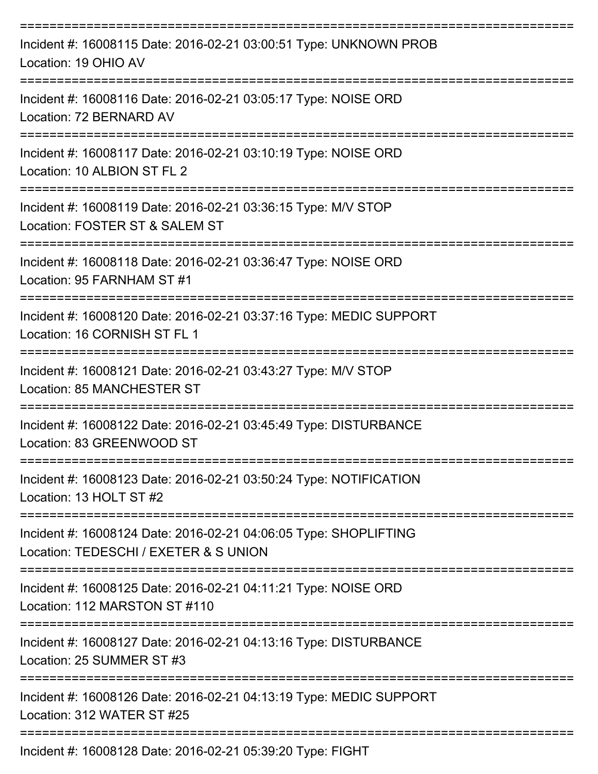| Incident #: 16008115 Date: 2016-02-21 03:00:51 Type: UNKNOWN PROB<br>Location: 19 OHIO AV                 |
|-----------------------------------------------------------------------------------------------------------|
| Incident #: 16008116 Date: 2016-02-21 03:05:17 Type: NOISE ORD<br>Location: 72 BERNARD AV                 |
| Incident #: 16008117 Date: 2016-02-21 03:10:19 Type: NOISE ORD<br>Location: 10 ALBION ST FL 2             |
| Incident #: 16008119 Date: 2016-02-21 03:36:15 Type: M/V STOP<br>Location: FOSTER ST & SALEM ST           |
| Incident #: 16008118 Date: 2016-02-21 03:36:47 Type: NOISE ORD<br>Location: 95 FARNHAM ST #1              |
| Incident #: 16008120 Date: 2016-02-21 03:37:16 Type: MEDIC SUPPORT<br>Location: 16 CORNISH ST FL 1        |
| Incident #: 16008121 Date: 2016-02-21 03:43:27 Type: M/V STOP<br>Location: 85 MANCHESTER ST               |
| Incident #: 16008122 Date: 2016-02-21 03:45:49 Type: DISTURBANCE<br>Location: 83 GREENWOOD ST             |
| Incident #: 16008123 Date: 2016-02-21 03:50:24 Type: NOTIFICATION<br>Location: 13 HOLT ST #2              |
| Incident #: 16008124 Date: 2016-02-21 04:06:05 Type: SHOPLIFTING<br>Location: TEDESCHI / EXETER & S UNION |
| Incident #: 16008125 Date: 2016-02-21 04:11:21 Type: NOISE ORD<br>Location: 112 MARSTON ST #110           |
| Incident #: 16008127 Date: 2016-02-21 04:13:16 Type: DISTURBANCE<br>Location: 25 SUMMER ST #3             |
| Incident #: 16008126 Date: 2016-02-21 04:13:19 Type: MEDIC SUPPORT<br>Location: 312 WATER ST #25          |
|                                                                                                           |

Incident #: 16008128 Date: 2016-02-21 05:39:20 Type: FIGHT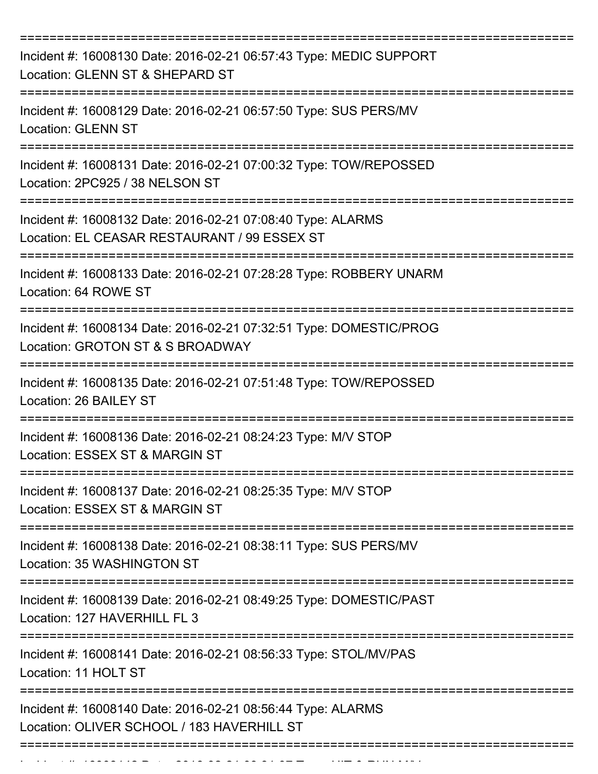| Incident #: 16008130 Date: 2016-02-21 06:57:43 Type: MEDIC SUPPORT<br>Location: GLENN ST & SHEPARD ST       |
|-------------------------------------------------------------------------------------------------------------|
| Incident #: 16008129 Date: 2016-02-21 06:57:50 Type: SUS PERS/MV<br><b>Location: GLENN ST</b>               |
| Incident #: 16008131 Date: 2016-02-21 07:00:32 Type: TOW/REPOSSED<br>Location: 2PC925 / 38 NELSON ST        |
| Incident #: 16008132 Date: 2016-02-21 07:08:40 Type: ALARMS<br>Location: EL CEASAR RESTAURANT / 99 ESSEX ST |
| Incident #: 16008133 Date: 2016-02-21 07:28:28 Type: ROBBERY UNARM<br>Location: 64 ROWE ST                  |
| Incident #: 16008134 Date: 2016-02-21 07:32:51 Type: DOMESTIC/PROG<br>Location: GROTON ST & S BROADWAY      |
| Incident #: 16008135 Date: 2016-02-21 07:51:48 Type: TOW/REPOSSED<br>Location: 26 BAILEY ST                 |
| Incident #: 16008136 Date: 2016-02-21 08:24:23 Type: M/V STOP<br>Location: ESSEX ST & MARGIN ST             |
| Incident #: 16008137 Date: 2016-02-21 08:25:35 Type: M/V STOP<br>Location: ESSEX ST & MARGIN ST             |
| Incident #: 16008138 Date: 2016-02-21 08:38:11 Type: SUS PERS/MV<br>Location: 35 WASHINGTON ST              |
| Incident #: 16008139 Date: 2016-02-21 08:49:25 Type: DOMESTIC/PAST<br>Location: 127 HAVERHILL FL 3          |
| Incident #: 16008141 Date: 2016-02-21 08:56:33 Type: STOL/MV/PAS<br>Location: 11 HOLT ST                    |
| Incident #: 16008140 Date: 2016-02-21 08:56:44 Type: ALARMS<br>Location: OLIVER SCHOOL / 183 HAVERHILL ST   |
|                                                                                                             |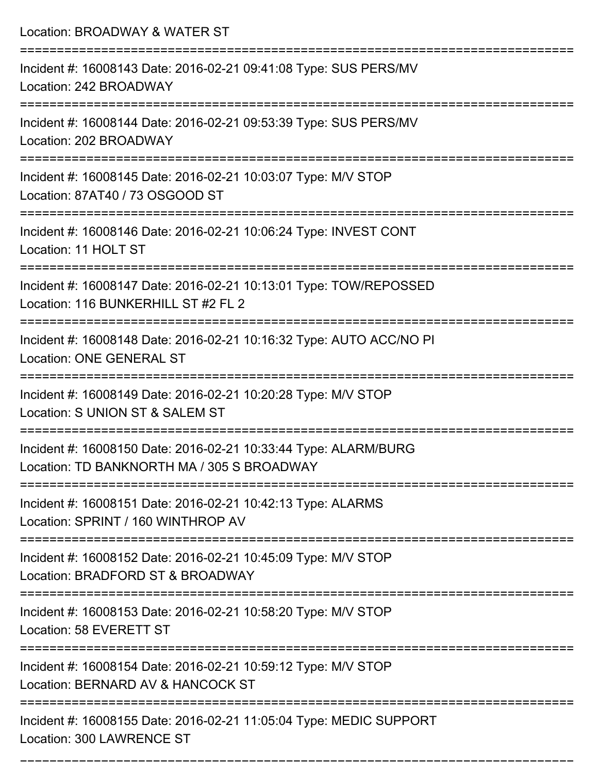Location: BROADWAY & WATER ST =========================================================================== Incident #: 16008143 Date: 2016-02-21 09:41:08 Type: SUS PERS/MV Location: 242 BROADWAY =========================================================================== Incident #: 16008144 Date: 2016-02-21 09:53:39 Type: SUS PERS/MV Location: 202 BROADWAY =========================================================================== Incident #: 16008145 Date: 2016-02-21 10:03:07 Type: M/V STOP Location: 87AT40 / 73 OSGOOD ST =========================================================================== Incident #: 16008146 Date: 2016-02-21 10:06:24 Type: INVEST CONT Location: 11 HOLT ST =========================================================================== Incident #: 16008147 Date: 2016-02-21 10:13:01 Type: TOW/REPOSSED Location: 116 BUNKERHILL ST #2 FL 2 =========================================================================== Incident #: 16008148 Date: 2016-02-21 10:16:32 Type: AUTO ACC/NO PI Location: ONE GENERAL ST =========================================================================== Incident #: 16008149 Date: 2016-02-21 10:20:28 Type: M/V STOP Location: S UNION ST & SALEM ST =========================================================================== Incident #: 16008150 Date: 2016-02-21 10:33:44 Type: ALARM/BURG Location: TD BANKNORTH MA / 305 S BROADWAY =========================================================================== Incident #: 16008151 Date: 2016-02-21 10:42:13 Type: ALARMS Location: SPRINT / 160 WINTHROP AV =========================================================================== Incident #: 16008152 Date: 2016-02-21 10:45:09 Type: M/V STOP Location: BRADFORD ST & BROADWAY =========================================================================== Incident #: 16008153 Date: 2016-02-21 10:58:20 Type: M/V STOP Location: 58 EVERETT ST =========================================================================== Incident #: 16008154 Date: 2016-02-21 10:59:12 Type: M/V STOP Location: BERNARD AV & HANCOCK ST =========================================================================== Incident #: 16008155 Date: 2016-02-21 11:05:04 Type: MEDIC SUPPORT Location: 300 LAWRENCE ST

===========================================================================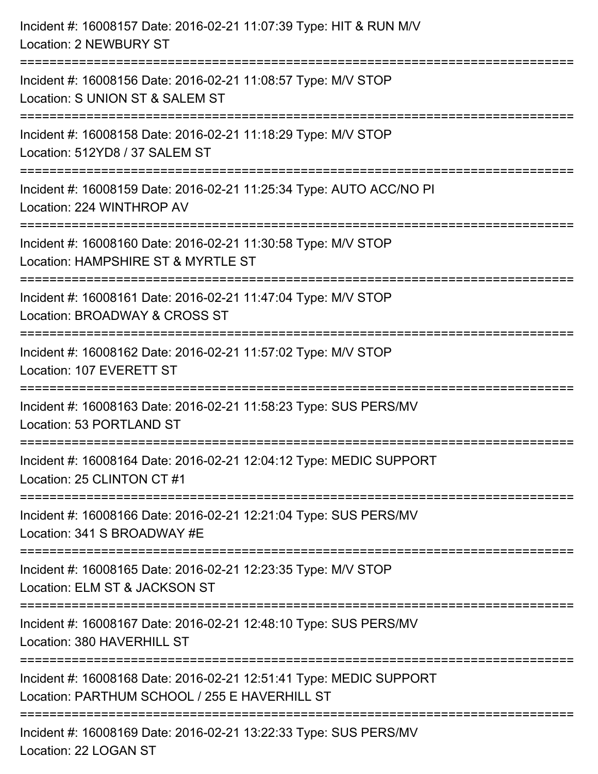| Incident #: 16008157 Date: 2016-02-21 11:07:39 Type: HIT & RUN M/V<br>Location: 2 NEWBURY ST                        |
|---------------------------------------------------------------------------------------------------------------------|
| Incident #: 16008156 Date: 2016-02-21 11:08:57 Type: M/V STOP<br>Location: S UNION ST & SALEM ST                    |
| Incident #: 16008158 Date: 2016-02-21 11:18:29 Type: M/V STOP<br>Location: 512YD8 / 37 SALEM ST                     |
| Incident #: 16008159 Date: 2016-02-21 11:25:34 Type: AUTO ACC/NO PI<br>Location: 224 WINTHROP AV                    |
| Incident #: 16008160 Date: 2016-02-21 11:30:58 Type: M/V STOP<br>Location: HAMPSHIRE ST & MYRTLE ST                 |
| Incident #: 16008161 Date: 2016-02-21 11:47:04 Type: M/V STOP<br>Location: BROADWAY & CROSS ST                      |
| Incident #: 16008162 Date: 2016-02-21 11:57:02 Type: M/V STOP<br>Location: 107 EVERETT ST                           |
| Incident #: 16008163 Date: 2016-02-21 11:58:23 Type: SUS PERS/MV<br>Location: 53 PORTLAND ST                        |
| Incident #: 16008164 Date: 2016-02-21 12:04:12 Type: MEDIC SUPPORT<br>Location: 25 CLINTON CT #1                    |
| Incident #: 16008166 Date: 2016-02-21 12:21:04 Type: SUS PERS/MV<br>Location: 341 S BROADWAY #E                     |
| Incident #: 16008165 Date: 2016-02-21 12:23:35 Type: M/V STOP<br>Location: ELM ST & JACKSON ST                      |
| Incident #: 16008167 Date: 2016-02-21 12:48:10 Type: SUS PERS/MV<br>Location: 380 HAVERHILL ST                      |
| Incident #: 16008168 Date: 2016-02-21 12:51:41 Type: MEDIC SUPPORT<br>Location: PARTHUM SCHOOL / 255 E HAVERHILL ST |
| Incident #: 16008169 Date: 2016-02-21 13:22:33 Type: SUS PERS/MV<br>Location: 22 LOGAN ST                           |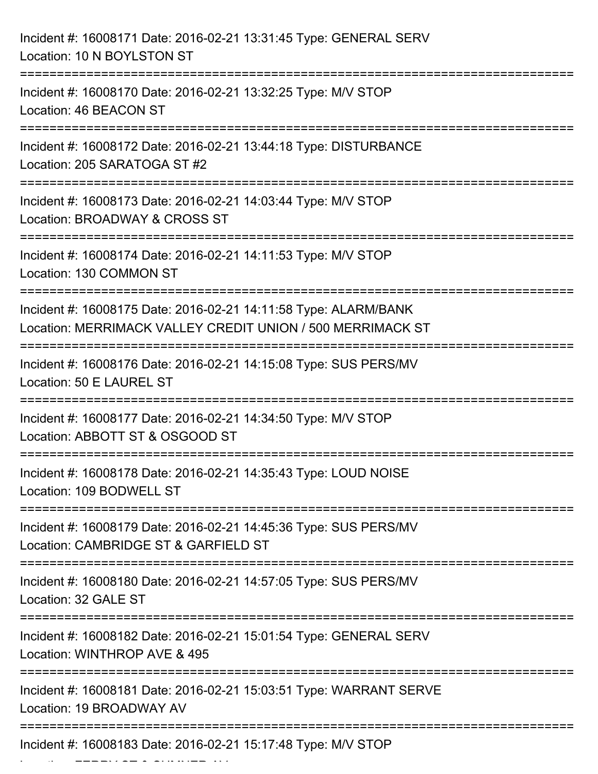| Incident #: 16008171 Date: 2016-02-21 13:31:45 Type: GENERAL SERV<br>Location: 10 N BOYLSTON ST                               |
|-------------------------------------------------------------------------------------------------------------------------------|
| Incident #: 16008170 Date: 2016-02-21 13:32:25 Type: M/V STOP<br>Location: 46 BEACON ST                                       |
| Incident #: 16008172 Date: 2016-02-21 13:44:18 Type: DISTURBANCE<br>Location: 205 SARATOGA ST #2                              |
| Incident #: 16008173 Date: 2016-02-21 14:03:44 Type: M/V STOP<br>Location: BROADWAY & CROSS ST                                |
| Incident #: 16008174 Date: 2016-02-21 14:11:53 Type: M/V STOP<br>Location: 130 COMMON ST                                      |
| Incident #: 16008175 Date: 2016-02-21 14:11:58 Type: ALARM/BANK<br>Location: MERRIMACK VALLEY CREDIT UNION / 500 MERRIMACK ST |
| Incident #: 16008176 Date: 2016-02-21 14:15:08 Type: SUS PERS/MV<br>Location: 50 E LAUREL ST                                  |
| Incident #: 16008177 Date: 2016-02-21 14:34:50 Type: M/V STOP<br>Location: ABBOTT ST & OSGOOD ST                              |
| Incident #: 16008178 Date: 2016-02-21 14:35:43 Type: LOUD NOISE<br>Location: 109 BODWELL ST                                   |
| Incident #: 16008179 Date: 2016-02-21 14:45:36 Type: SUS PERS/MV<br>Location: CAMBRIDGE ST & GARFIELD ST                      |
| Incident #: 16008180 Date: 2016-02-21 14:57:05 Type: SUS PERS/MV<br>Location: 32 GALE ST                                      |
| Incident #: 16008182 Date: 2016-02-21 15:01:54 Type: GENERAL SERV<br>Location: WINTHROP AVE & 495                             |
| Incident #: 16008181 Date: 2016-02-21 15:03:51 Type: WARRANT SERVE<br>Location: 19 BROADWAY AV                                |
| Incident #: 16008183 Date: 2016-02-21 15:17:48 Type: M/V STOP                                                                 |

 $\frac{1}{1}$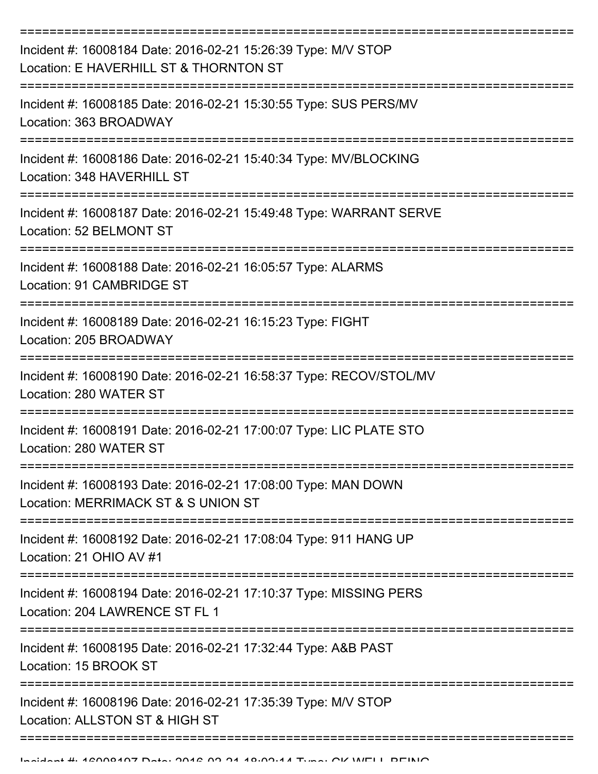| Incident #: 16008184 Date: 2016-02-21 15:26:39 Type: M/V STOP<br>Location: E HAVERHILL ST & THORNTON ST |
|---------------------------------------------------------------------------------------------------------|
| Incident #: 16008185 Date: 2016-02-21 15:30:55 Type: SUS PERS/MV<br>Location: 363 BROADWAY              |
| Incident #: 16008186 Date: 2016-02-21 15:40:34 Type: MV/BLOCKING<br>Location: 348 HAVERHILL ST          |
| Incident #: 16008187 Date: 2016-02-21 15:49:48 Type: WARRANT SERVE<br>Location: 52 BELMONT ST           |
| Incident #: 16008188 Date: 2016-02-21 16:05:57 Type: ALARMS<br>Location: 91 CAMBRIDGE ST                |
| Incident #: 16008189 Date: 2016-02-21 16:15:23 Type: FIGHT<br>Location: 205 BROADWAY                    |
| Incident #: 16008190 Date: 2016-02-21 16:58:37 Type: RECOV/STOL/MV<br>Location: 280 WATER ST            |
| Incident #: 16008191 Date: 2016-02-21 17:00:07 Type: LIC PLATE STO<br>Location: 280 WATER ST            |
| Incident #: 16008193 Date: 2016-02-21 17:08:00 Type: MAN DOWN<br>Location: MERRIMACK ST & S UNION ST    |
| Incident #: 16008192 Date: 2016-02-21 17:08:04 Type: 911 HANG UP<br>Location: 21 OHIO AV #1             |
| Incident #: 16008194 Date: 2016-02-21 17:10:37 Type: MISSING PERS<br>Location: 204 LAWRENCE ST FL 1     |
| Incident #: 16008195 Date: 2016-02-21 17:32:44 Type: A&B PAST<br>Location: 15 BROOK ST                  |
| Incident #: 16008196 Date: 2016-02-21 17:35:39 Type: M/V STOP<br>Location: ALLSTON ST & HIGH ST         |
|                                                                                                         |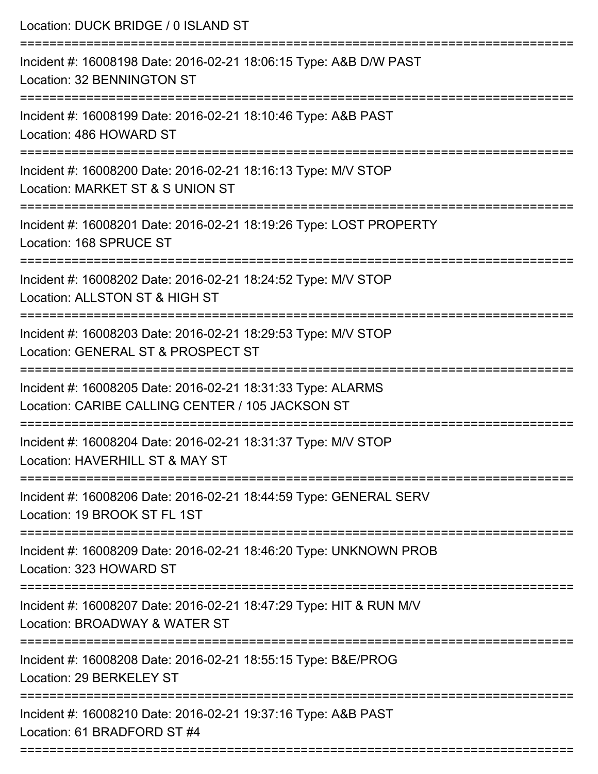| Location: DUCK BRIDGE / 0 ISLAND ST                                                                             |
|-----------------------------------------------------------------------------------------------------------------|
| Incident #: 16008198 Date: 2016-02-21 18:06:15 Type: A&B D/W PAST<br>Location: 32 BENNINGTON ST                 |
| Incident #: 16008199 Date: 2016-02-21 18:10:46 Type: A&B PAST<br>Location: 486 HOWARD ST                        |
| Incident #: 16008200 Date: 2016-02-21 18:16:13 Type: M/V STOP<br>Location: MARKET ST & S UNION ST               |
| Incident #: 16008201 Date: 2016-02-21 18:19:26 Type: LOST PROPERTY<br>Location: 168 SPRUCE ST                   |
| Incident #: 16008202 Date: 2016-02-21 18:24:52 Type: M/V STOP<br>Location: ALLSTON ST & HIGH ST                 |
| Incident #: 16008203 Date: 2016-02-21 18:29:53 Type: M/V STOP<br>Location: GENERAL ST & PROSPECT ST             |
| Incident #: 16008205 Date: 2016-02-21 18:31:33 Type: ALARMS<br>Location: CARIBE CALLING CENTER / 105 JACKSON ST |
| Incident #: 16008204 Date: 2016-02-21 18:31:37 Type: M/V STOP<br>Location: HAVERHILL ST & MAY ST                |
| Incident #: 16008206 Date: 2016-02-21 18:44:59 Type: GENERAL SERV<br>Location: 19 BROOK ST FL 1ST               |
| Incident #: 16008209 Date: 2016-02-21 18:46:20 Type: UNKNOWN PROB<br>Location: 323 HOWARD ST                    |
| Incident #: 16008207 Date: 2016-02-21 18:47:29 Type: HIT & RUN M/V<br>Location: BROADWAY & WATER ST             |
| Incident #: 16008208 Date: 2016-02-21 18:55:15 Type: B&E/PROG<br>Location: 29 BERKELEY ST                       |
| Incident #: 16008210 Date: 2016-02-21 19:37:16 Type: A&B PAST<br>Location: 61 BRADFORD ST #4                    |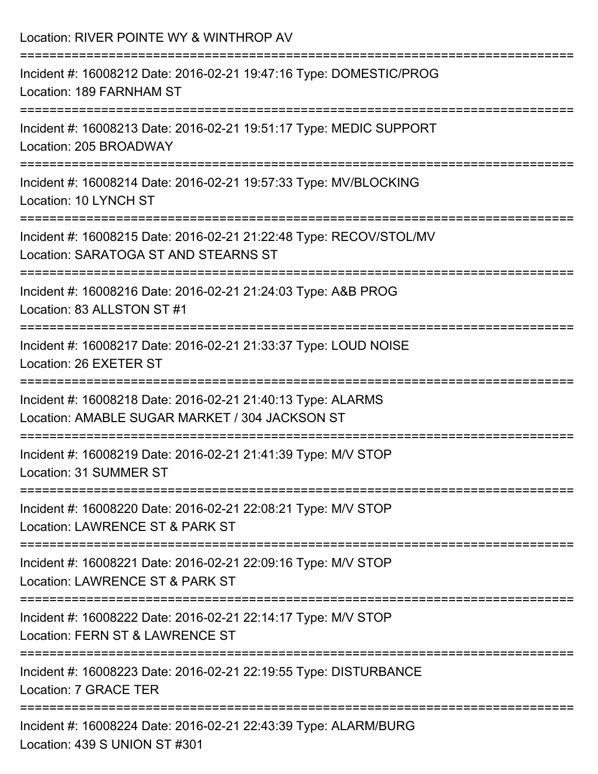| Location: RIVER POINTE WY & WINTHROP AV                                                                       |
|---------------------------------------------------------------------------------------------------------------|
| Incident #: 16008212 Date: 2016-02-21 19:47:16 Type: DOMESTIC/PROG<br>Location: 189 FARNHAM ST                |
| Incident #: 16008213 Date: 2016-02-21 19:51:17 Type: MEDIC SUPPORT<br>Location: 205 BROADWAY                  |
| Incident #: 16008214 Date: 2016-02-21 19:57:33 Type: MV/BLOCKING<br>Location: 10 LYNCH ST                     |
| Incident #: 16008215 Date: 2016-02-21 21:22:48 Type: RECOV/STOL/MV<br>Location: SARATOGA ST AND STEARNS ST    |
| Incident #: 16008216 Date: 2016-02-21 21:24:03 Type: A&B PROG<br>Location: 83 ALLSTON ST #1                   |
| Incident #: 16008217 Date: 2016-02-21 21:33:37 Type: LOUD NOISE<br>Location: 26 EXETER ST                     |
| Incident #: 16008218 Date: 2016-02-21 21:40:13 Type: ALARMS<br>Location: AMABLE SUGAR MARKET / 304 JACKSON ST |
| Incident #: 16008219 Date: 2016-02-21 21:41:39 Type: M/V STOP<br>Location: 31 SUMMER ST                       |
| Incident #: 16008220 Date: 2016-02-21 22:08:21 Type: M/V STOP<br>Location: LAWRENCE ST & PARK ST              |
| Incident #: 16008221 Date: 2016-02-21 22:09:16 Type: M/V STOP<br>Location: LAWRENCE ST & PARK ST              |
| Incident #: 16008222 Date: 2016-02-21 22:14:17 Type: M/V STOP<br>Location: FERN ST & LAWRENCE ST              |
| Incident #: 16008223 Date: 2016-02-21 22:19:55 Type: DISTURBANCE<br>Location: 7 GRACE TER                     |
| Incident #: 16008224 Date: 2016-02-21 22:43:39 Type: ALARM/BURG<br>Location: 439 S UNION ST #301              |